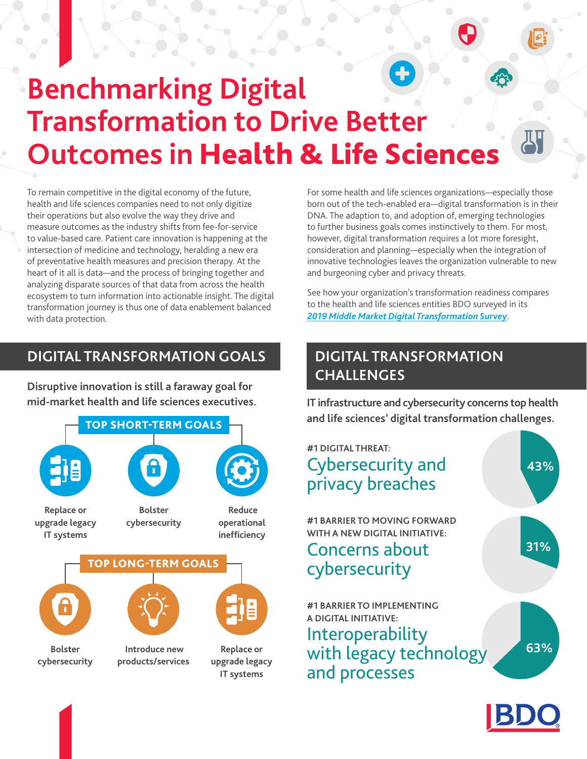## **Benchmarking Digital Transformation to Drive Better Outcomes in** Health & Life Sciences

To remain competitive in the digital economy of the future, health and life sciences companies need to not only digitize their operations but also evolve the way they drive and measure outcomes as the industry shifts from fee-for-service to value-based care. Patient care innovation is happening at the intersection of medicine and technology, heralding a new era of preventative health measures and precision therapy. At the heart of it all is data—and the process of bringing together and analyzing disparate sources of that data from across the health ecosystem to turn information into actionable insight. The digital transformation journey is thus one of data enablement balanced with data protection.

## **DIGITAL TRANSFORMATION GOALS DIGITAL TRANSFORMATION**

**Disruptive innovation is still a faraway goal for** 



For some health and life sciences organizations—especially those born out of the tech-enabled era—digital transformation is in their DNA. The adaption to, and adoption of, emerging technologies to further business goals comes instinctively to them. For most, however, digital transformation requires a lot more foresight, consideration and planning—especially when the integration of innovative technologies leaves the organization vulnerable to new and burgeoning cyber and privacy threats.

See how your organization's transformation readiness compares to the health and life sciences entities BDO surveyed in its *[2019 Middle Market Digital Transformation Survey](https://www.bdo.com/thought-leadership/digital-transformation-survey)*.

# **CHALLENGES**

**mid-market health and life sciences executives. IT infrastructure and cybersecurity concerns top health and life sciences' digital transformation challenges.**